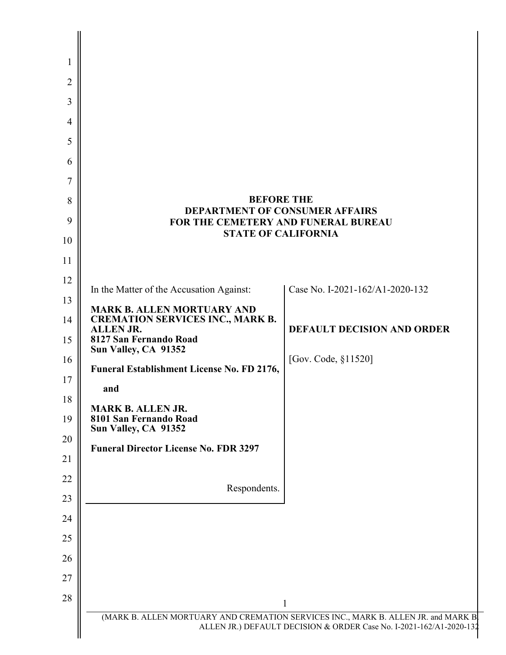<span id="page-0-0"></span>

|                                                                                       | <b>BEFORE THE</b>                 |
|---------------------------------------------------------------------------------------|-----------------------------------|
| <b>DEPARTMENT OF CONSUMER AFFAIRS</b><br>FOR THE CEMETERY AND FUNERAL BUREAU          |                                   |
|                                                                                       | <b>STATE OF CALIFORNIA</b>        |
|                                                                                       |                                   |
| In the Matter of the Accusation Against:                                              | Case No. I-2021-162/A1-2020-132   |
| <b>MARK B. ALLEN MORTUARY AND</b>                                                     |                                   |
| <b>CREMATION SERVICES INC., MARK B.</b><br><b>ALLEN JR.</b><br>8127 San Fernando Road | <b>DEFAULT DECISION AND ORDER</b> |
| Sun Valley, CA 91352                                                                  | [Gov. Code, §11520]               |
| Funeral Establishment License No. FD 2176,                                            |                                   |
| and                                                                                   |                                   |
| <b>MARK B. ALLEN JR.</b><br>8101 San Fernando Road<br>Sun Valley, CA 91352            |                                   |
| <b>Funeral Director License No. FDR 3297</b>                                          |                                   |
|                                                                                       |                                   |
| Respondents.                                                                          |                                   |
|                                                                                       |                                   |
|                                                                                       |                                   |
|                                                                                       |                                   |
|                                                                                       |                                   |
|                                                                                       |                                   |
| (MARK B. ALLEN MORTUARY AND CREMATION SERVICES INC., MARK B. ALLEN JR. and MARK B     | 1                                 |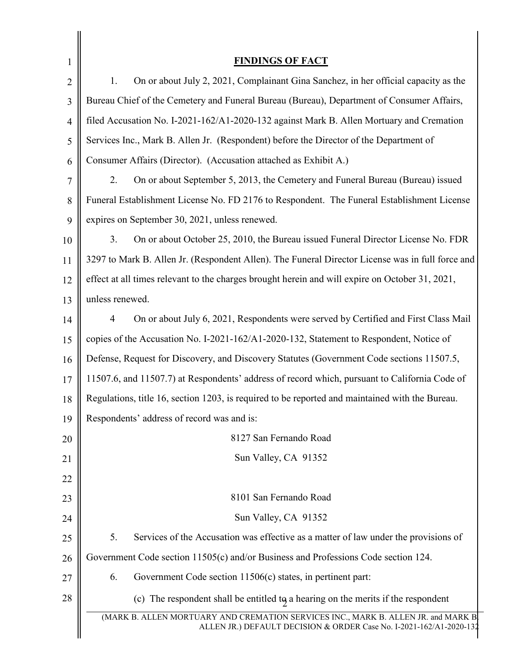<span id="page-1-0"></span>

| $\mathbf{1}$   | <b>FINDINGS OF FACT</b>                                                                                                                                  |
|----------------|----------------------------------------------------------------------------------------------------------------------------------------------------------|
| $\overline{2}$ | 1.<br>On or about July 2, 2021, Complainant Gina Sanchez, in her official capacity as the                                                                |
| 3              | Bureau Chief of the Cemetery and Funeral Bureau (Bureau), Department of Consumer Affairs,                                                                |
| 4              | filed Accusation No. I-2021-162/A1-2020-132 against Mark B. Allen Mortuary and Cremation                                                                 |
| 5              | Services Inc., Mark B. Allen Jr. (Respondent) before the Director of the Department of                                                                   |
| 6              | Consumer Affairs (Director). (Accusation attached as Exhibit A.)                                                                                         |
| 7              | 2.<br>On or about September 5, 2013, the Cemetery and Funeral Bureau (Bureau) issued                                                                     |
| 8              | Funeral Establishment License No. FD 2176 to Respondent. The Funeral Establishment License                                                               |
| 9              | expires on September 30, 2021, unless renewed.                                                                                                           |
| 10             | 3.<br>On or about October 25, 2010, the Bureau issued Funeral Director License No. FDR                                                                   |
| 11             | 3297 to Mark B. Allen Jr. (Respondent Allen). The Funeral Director License was in full force and                                                         |
| 12             | effect at all times relevant to the charges brought herein and will expire on October 31, 2021,                                                          |
| 13             | unless renewed.                                                                                                                                          |
| 14             | On or about July 6, 2021, Respondents were served by Certified and First Class Mail<br>4                                                                 |
| 15             | copies of the Accusation No. I-2021-162/A1-2020-132, Statement to Respondent, Notice of                                                                  |
| 16             | Defense, Request for Discovery, and Discovery Statutes (Government Code sections 11507.5,                                                                |
| 17             | 11507.6, and 11507.7) at Respondents' address of record which, pursuant to California Code of                                                            |
| 18             | Regulations, title 16, section 1203, is required to be reported and maintained with the Bureau.                                                          |
| 19             | Respondents' address of record was and is:                                                                                                               |
| 20             | 8127 San Fernando Road                                                                                                                                   |
| 21             | Sun Valley, CA 91352                                                                                                                                     |
| 22             |                                                                                                                                                          |
| 23             | 8101 San Fernando Road                                                                                                                                   |
| 24             | Sun Valley, CA 91352                                                                                                                                     |
| 25             | 5.<br>Services of the Accusation was effective as a matter of law under the provisions of                                                                |
| 26             | Government Code section 11505(c) and/or Business and Professions Code section 124.                                                                       |
| 27             | Government Code section 11506(c) states, in pertinent part:<br>6.                                                                                        |
| 28             | (c) The respondent shall be entitled to a hearing on the merits if the respondent                                                                        |
|                | (MARK B. ALLEN MORTUARY AND CREMATION SERVICES INC., MARK B. ALLEN JR. and MARK B<br>ALLEN JR.) DEFAULT DECISION & ORDER Case No. I-2021-162/A1-2020-132 |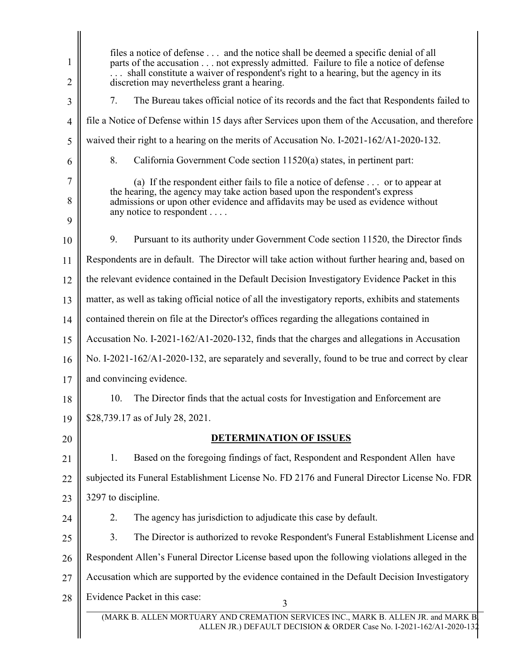<span id="page-2-0"></span>

| 1<br>2         | files a notice of defense  and the notice shall be deemed a specific denial of all<br>parts of the accusation not expressly admitted. Failure to file a notice of defense<br>shall constitute a waiver of respondent's right to a hearing, but the agency in its<br>discretion may nevertheless grant a hearing. |
|----------------|------------------------------------------------------------------------------------------------------------------------------------------------------------------------------------------------------------------------------------------------------------------------------------------------------------------|
| 3              | The Bureau takes official notice of its records and the fact that Respondents failed to<br>7.                                                                                                                                                                                                                    |
| $\overline{4}$ | file a Notice of Defense within 15 days after Services upon them of the Accusation, and therefore                                                                                                                                                                                                                |
| 5              | waived their right to a hearing on the merits of Accusation No. I-2021-162/A1-2020-132.                                                                                                                                                                                                                          |
| 6              | 8.<br>California Government Code section 11520(a) states, in pertinent part:                                                                                                                                                                                                                                     |
| 7<br>8         | (a) If the respondent either fails to file a notice of defense $\dots$ or to appear at<br>the hearing, the agency may take action based upon the respondent's express<br>admissions or upon other evidence and affidavits may be used as evidence without                                                        |
| 9              | any notice to respondent                                                                                                                                                                                                                                                                                         |
| 10             | 9.<br>Pursuant to its authority under Government Code section 11520, the Director finds                                                                                                                                                                                                                          |
| 11             | Respondents are in default. The Director will take action without further hearing and, based on                                                                                                                                                                                                                  |
| 12             | the relevant evidence contained in the Default Decision Investigatory Evidence Packet in this                                                                                                                                                                                                                    |
| 13             | matter, as well as taking official notice of all the investigatory reports, exhibits and statements                                                                                                                                                                                                              |
| 14             | contained therein on file at the Director's offices regarding the allegations contained in                                                                                                                                                                                                                       |
| 15             | Accusation No. I-2021-162/A1-2020-132, finds that the charges and allegations in Accusation                                                                                                                                                                                                                      |
| 16             | No. I-2021-162/A1-2020-132, are separately and severally, found to be true and correct by clear                                                                                                                                                                                                                  |
| 17             | and convincing evidence.                                                                                                                                                                                                                                                                                         |
| 18             | 10. The Director finds that the actual costs for Investigation and Enforcement are                                                                                                                                                                                                                               |
| 19             | \$28,739.17 as of July 28, 2021.                                                                                                                                                                                                                                                                                 |
| 20             | <b>DETERMINATION OF ISSUES</b>                                                                                                                                                                                                                                                                                   |
| 21             | Based on the foregoing findings of fact, Respondent and Respondent Allen have<br>1.                                                                                                                                                                                                                              |
| 22             | subjected its Funeral Establishment License No. FD 2176 and Funeral Director License No. FDR                                                                                                                                                                                                                     |
| 23             | 3297 to discipline.                                                                                                                                                                                                                                                                                              |
| 24             | The agency has jurisdiction to adjudicate this case by default.<br>2.                                                                                                                                                                                                                                            |
| 25             | The Director is authorized to revoke Respondent's Funeral Establishment License and<br>3.                                                                                                                                                                                                                        |
| 26             | Respondent Allen's Funeral Director License based upon the following violations alleged in the                                                                                                                                                                                                                   |
| 27             | Accusation which are supported by the evidence contained in the Default Decision Investigatory                                                                                                                                                                                                                   |
| 28             | Evidence Packet in this case:<br>3                                                                                                                                                                                                                                                                               |
|                | (MARK B. ALLEN MORTUARY AND CREMATION SERVICES INC., MARK B. ALLEN JR. and MARK B<br>ALLEN JR.) DEFAULT DECISION & ORDER Case No. I-2021-162/A1-2020-132                                                                                                                                                         |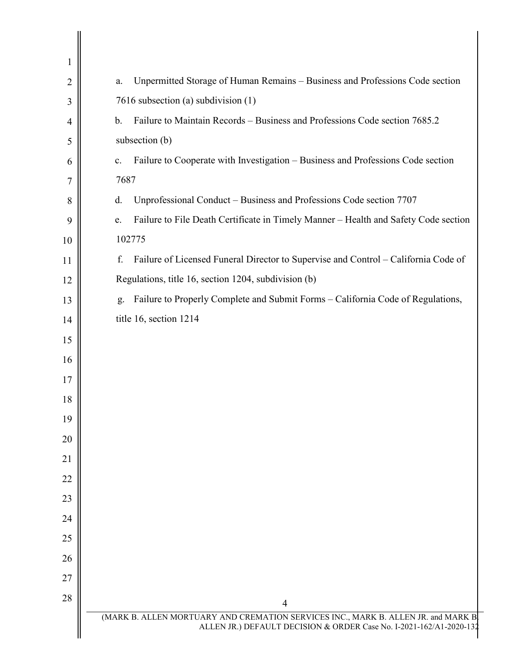<span id="page-3-0"></span>

| 1              |                                                                                                                                                          |
|----------------|----------------------------------------------------------------------------------------------------------------------------------------------------------|
| $\overline{2}$ | Unpermitted Storage of Human Remains - Business and Professions Code section<br>a.                                                                       |
| 3              | 7616 subsection (a) subdivision (1)                                                                                                                      |
| $\overline{4}$ | Failure to Maintain Records - Business and Professions Code section 7685.2<br>$\mathbf b$ .                                                              |
| 5              | subsection (b)                                                                                                                                           |
| 6              | Failure to Cooperate with Investigation – Business and Professions Code section<br>c.                                                                    |
| 7              | 7687                                                                                                                                                     |
| 8              | Unprofessional Conduct - Business and Professions Code section 7707<br>d.                                                                                |
| 9              | Failure to File Death Certificate in Timely Manner - Health and Safety Code section<br>e.                                                                |
| 10             | 102775                                                                                                                                                   |
| 11             | f.<br>Failure of Licensed Funeral Director to Supervise and Control - California Code of                                                                 |
| 12             | Regulations, title 16, section 1204, subdivision (b)                                                                                                     |
| 13             | Failure to Properly Complete and Submit Forms - California Code of Regulations,<br>g.                                                                    |
| 14             | title 16, section 1214                                                                                                                                   |
| 15             |                                                                                                                                                          |
| 16             |                                                                                                                                                          |
| 17             |                                                                                                                                                          |
| 18             |                                                                                                                                                          |
| 19             |                                                                                                                                                          |
| 20             |                                                                                                                                                          |
| 21             |                                                                                                                                                          |
| 22             |                                                                                                                                                          |
| 23             |                                                                                                                                                          |
| 24             |                                                                                                                                                          |
| 25             |                                                                                                                                                          |
| 26             |                                                                                                                                                          |
| 27             |                                                                                                                                                          |
| 28             | $\overline{4}$                                                                                                                                           |
|                | (MARK B. ALLEN MORTUARY AND CREMATION SERVICES INC., MARK B. ALLEN JR. and MARK B<br>ALLEN JR.) DEFAULT DECISION & ORDER Case No. I-2021-162/A1-2020-132 |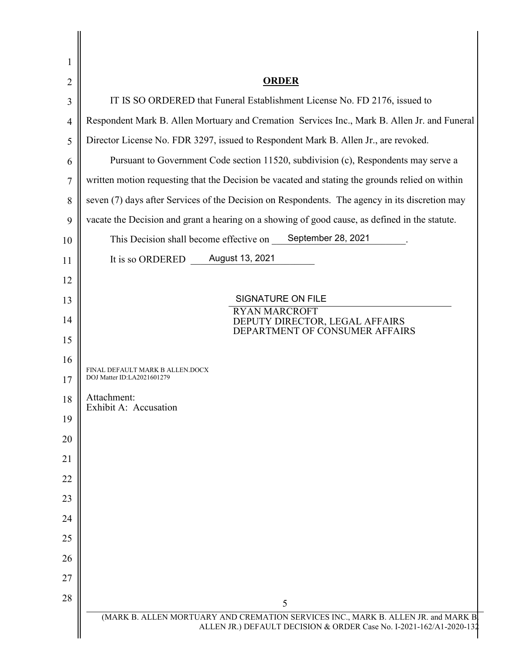| <b>ORDER</b>                                                                                    |
|-------------------------------------------------------------------------------------------------|
| IT IS SO ORDERED that Funeral Establishment License No. FD 2176, issued to                      |
| Respondent Mark B. Allen Mortuary and Cremation Services Inc., Mark B. Allen Jr. and Funeral    |
| Director License No. FDR 3297, issued to Respondent Mark B. Allen Jr., are revoked.             |
| Pursuant to Government Code section 11520, subdivision (c), Respondents may serve a             |
| written motion requesting that the Decision be vacated and stating the grounds relied on within |
| seven (7) days after Services of the Decision on Respondents. The agency in its discretion may  |
| vacate the Decision and grant a hearing on a showing of good cause, as defined in the statute.  |
| September 28, 2021<br>This Decision shall become effective on                                   |
| August 13, 2021<br>It is so ORDERED                                                             |
|                                                                                                 |
| <b>SIGNATURE ON FILE</b><br><b>RYAN MARCROFT</b>                                                |
| DEPUTY DIRECTOR, LEGAL AFFAIRS<br>DEPARTMENT OF CONSUMER AFFAIRS                                |
|                                                                                                 |
|                                                                                                 |
| FINAL DEFAULT MARK B ALLEN.DOCX<br>DOJ Matter ID:LA2021601279                                   |
| Attachment:<br>Exhibit A: Accusation                                                            |
|                                                                                                 |
|                                                                                                 |
|                                                                                                 |
|                                                                                                 |
|                                                                                                 |
|                                                                                                 |
|                                                                                                 |
|                                                                                                 |
|                                                                                                 |
|                                                                                                 |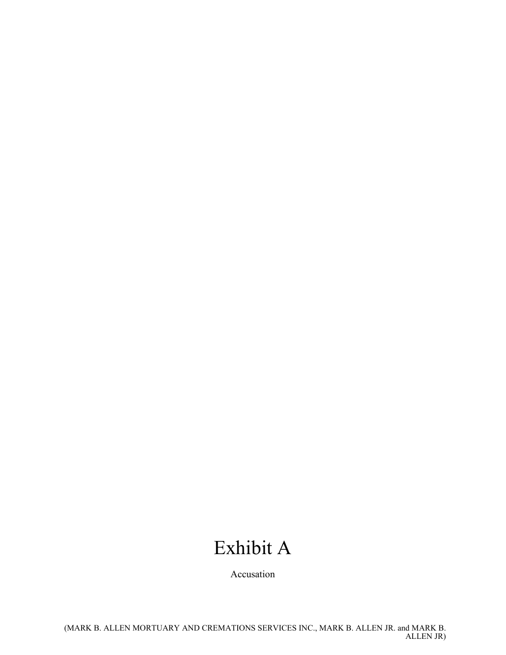## Exhibit A

Accusation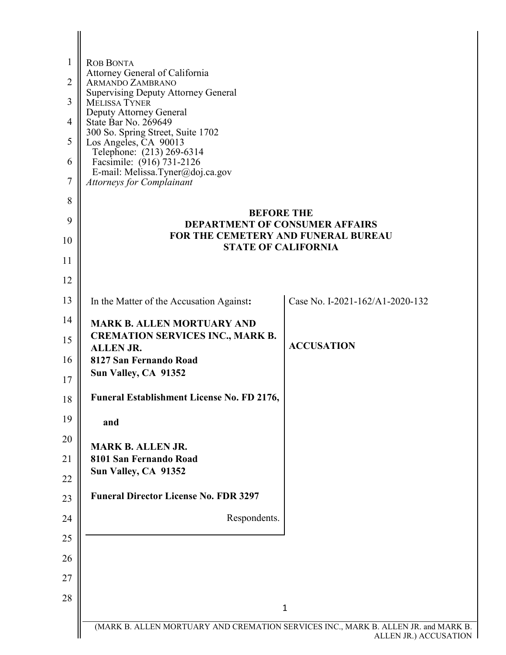| 1  | <b>ROB BONTA</b>                                                                   |                                 |
|----|------------------------------------------------------------------------------------|---------------------------------|
| 2  | Attorney General of California<br>ARMANDO ZAMBRANO                                 |                                 |
| 3  | <b>Supervising Deputy Attorney General</b><br>MELISSA TYNER                        |                                 |
| 4  | Deputy Attorney General<br>State Bar No. 269649                                    |                                 |
| 5  | 300 So. Spring Street, Suite 1702<br>Los Angeles, CA 90013                         |                                 |
| 6  | Telephone: (213) 269-6314<br>Facsimile: (916) 731-2126                             |                                 |
| 7  | E-mail: Melissa.Tyner@doj.ca.gov<br><b>Attorneys for Complainant</b>               |                                 |
| 8  |                                                                                    |                                 |
| 9  | <b>BEFORE THE</b><br><b>DEPARTMENT OF CONSUMER AFFAIRS</b>                         |                                 |
| 10 | FOR THE CEMETERY AND FUNERAL BUREAU<br><b>STATE OF CALIFORNIA</b>                  |                                 |
| 11 |                                                                                    |                                 |
| 12 |                                                                                    |                                 |
| 13 | In the Matter of the Accusation Against:                                           | Case No. I-2021-162/A1-2020-132 |
| 14 | <b>MARK B. ALLEN MORTUARY AND</b>                                                  |                                 |
| 15 | <b>CREMATION SERVICES INC., MARK B.</b><br><b>ALLENJR.</b>                         | <b>ACCUSATION</b>               |
| 16 | 8127 San Fernando Road                                                             |                                 |
| 17 | Sun Valley, CA 91352                                                               |                                 |
| 18 | <b>Funeral Establishment License No. FD 2176,</b>                                  |                                 |
| 19 | and                                                                                |                                 |
| 20 | <b>MARK B. ALLEN JR.</b>                                                           |                                 |
| 21 | 8101 San Fernando Road<br>Sun Valley, CA 91352                                     |                                 |
| 22 |                                                                                    |                                 |
| 23 | <b>Funeral Director License No. FDR 3297</b>                                       |                                 |
| 24 | Respondents.                                                                       |                                 |
| 25 |                                                                                    |                                 |
| 26 |                                                                                    |                                 |
| 27 |                                                                                    |                                 |
| 28 |                                                                                    | $\mathbf{1}$                    |
|    | (MARK B. ALLEN MORTUARY AND CREMATION SERVICES INC., MARK B. ALLEN JR. and MARK B. | ALLEN JR.) ACCUSATION           |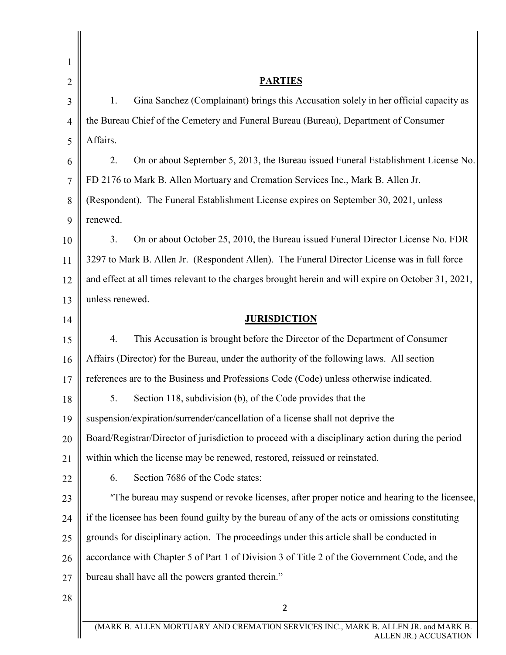| 1              |                                                                                                     |
|----------------|-----------------------------------------------------------------------------------------------------|
| $\overline{2}$ | <b>PARTIES</b>                                                                                      |
| 3              | Gina Sanchez (Complainant) brings this Accusation solely in her official capacity as<br>1.          |
| $\overline{4}$ | the Bureau Chief of the Cemetery and Funeral Bureau (Bureau), Department of Consumer                |
| 5              | Affairs.                                                                                            |
| 6              | On or about September 5, 2013, the Bureau issued Funeral Establishment License No.<br>2.            |
| 7              | FD 2176 to Mark B. Allen Mortuary and Cremation Services Inc., Mark B. Allen Jr.                    |
| 8              | (Respondent). The Funeral Establishment License expires on September 30, 2021, unless               |
| 9              | renewed.                                                                                            |
| 10             | 3.<br>On or about October 25, 2010, the Bureau issued Funeral Director License No. FDR              |
| 11             | 3297 to Mark B. Allen Jr. (Respondent Allen). The Funeral Director License was in full force        |
| 12             | and effect at all times relevant to the charges brought herein and will expire on October 31, 2021, |
| 13             | unless renewed.                                                                                     |
| 14             | <b>JURISDICTION</b>                                                                                 |
| 15             | This Accusation is brought before the Director of the Department of Consumer<br>4.                  |
| 16             | Affairs (Director) for the Bureau, under the authority of the following laws. All section           |
| 17             | references are to the Business and Professions Code (Code) unless otherwise indicated.              |
| 18             | 5. Section 118, subdivision (b), of the Code provides that the                                      |
| 19             | suspension/expiration/surrender/cancellation of a license shall not deprive the                     |
| 20             | Board/Registrar/Director of jurisdiction to proceed with a disciplinary action during the period    |
| 21             | within which the license may be renewed, restored, reissued or reinstated.                          |
| 22             | 6.<br>Section 7686 of the Code states:                                                              |
| 23             | "The bureau may suspend or revoke licenses, after proper notice and hearing to the licensee,        |
| 24             | if the licensee has been found guilty by the bureau of any of the acts or omissions constituting    |
| 25             | grounds for disciplinary action. The proceedings under this article shall be conducted in           |
| 26             | accordance with Chapter 5 of Part 1 of Division 3 of Title 2 of the Government Code, and the        |
| 27             | bureau shall have all the powers granted therein."                                                  |
| 28             | $\overline{2}$                                                                                      |
|                | (MARK B. ALLEN MORTUARY AND CREMATION SERVICES INC., MARK B. ALLEN JR. and MARK B.                  |
|                | ALLEN JR.) ACCUSATION                                                                               |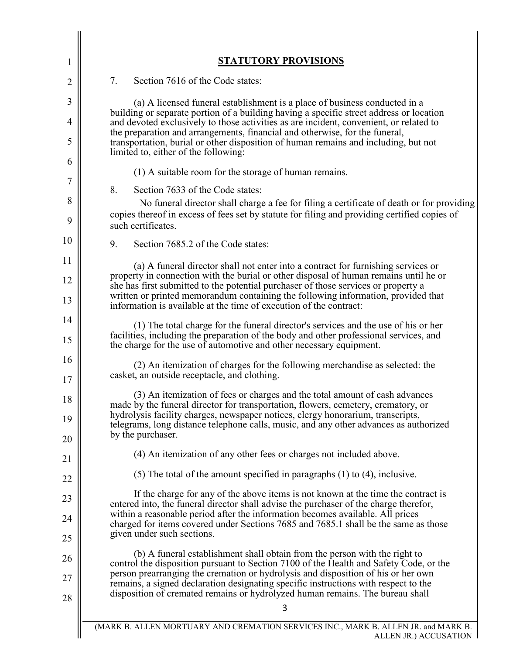| 1              | <b>STATUTORY PROVISIONS</b>                                                                                                                                                                                                                                                                                                                                       |
|----------------|-------------------------------------------------------------------------------------------------------------------------------------------------------------------------------------------------------------------------------------------------------------------------------------------------------------------------------------------------------------------|
| 2              | 7.<br>Section 7616 of the Code states:                                                                                                                                                                                                                                                                                                                            |
| 3              | (a) A licensed funeral establishment is a place of business conducted in a                                                                                                                                                                                                                                                                                        |
| 4              | building or separate portion of a building having a specific street address or location<br>and devoted exclusively to those activities as are incident, convenient, or related to                                                                                                                                                                                 |
| 5              | the preparation and arrangements, financial and otherwise, for the funeral,<br>transportation, burial or other disposition of human remains and including, but not<br>limited to, either of the following:                                                                                                                                                        |
| 6              | (1) A suitable room for the storage of human remains.                                                                                                                                                                                                                                                                                                             |
| 7              | 8.<br>Section 7633 of the Code states:                                                                                                                                                                                                                                                                                                                            |
| 8<br>9         | No funeral director shall charge a fee for filing a certificate of death or for providing<br>copies thereof in excess of fees set by statute for filing and providing certified copies of<br>such certificates.                                                                                                                                                   |
| 10             | Section 7685.2 of the Code states:<br>9.                                                                                                                                                                                                                                                                                                                          |
| 11             | (a) A funeral director shall not enter into a contract for furnishing services or                                                                                                                                                                                                                                                                                 |
| 12             | property in connection with the burial or other disposal of human remains until he or<br>she has first submitted to the potential purchaser of those services or property a                                                                                                                                                                                       |
| 13             | written or printed memorandum containing the following information, provided that<br>information is available at the time of execution of the contract:                                                                                                                                                                                                           |
| 14<br>15       | (1) The total charge for the funeral director's services and the use of his or her<br>facilities, including the preparation of the body and other professional services, and<br>the charge for the use of automotive and other necessary equipment.                                                                                                               |
| 16<br>17       | (2) An itemization of charges for the following merchandise as selected: the<br>casket, an outside receptacle, and clothing.                                                                                                                                                                                                                                      |
| 18<br>19<br>20 | (3) An itemization of fees or charges and the total amount of cash advances<br>made by the funeral director for transportation, flowers, cemetery, crematory, or<br>hydrolysis facility charges, newspaper notices, clergy honorarium, transcripts,<br>telegrams, long distance telephone calls, music, and any other advances as authorized<br>by the purchaser. |
| 21             | (4) An itemization of any other fees or charges not included above.                                                                                                                                                                                                                                                                                               |
| 22             | $(5)$ The total of the amount specified in paragraphs $(1)$ to $(4)$ , inclusive.                                                                                                                                                                                                                                                                                 |
| 23             | If the charge for any of the above items is not known at the time the contract is<br>entered into, the funeral director shall advise the purchaser of the charge therefor,                                                                                                                                                                                        |
| 24             | within a reasonable period after the information becomes available. All prices<br>charged for items covered under Sections 7685 and 7685.1 shall be the same as those                                                                                                                                                                                             |
| 25             | given under such sections.                                                                                                                                                                                                                                                                                                                                        |
| 26             | (b) A funeral establishment shall obtain from the person with the right to<br>control the disposition pursuant to Section 7100 of the Health and Safety Code, or the                                                                                                                                                                                              |
| 27             | person prearranging the cremation or hydrolysis and disposition of his or her own<br>remains, a signed declaration designating specific instructions with respect to the<br>disposition of cremated remains or hydrolyzed human remains. The bureau shall                                                                                                         |
| 28             | 3                                                                                                                                                                                                                                                                                                                                                                 |
|                | (MARK B. ALLEN MORTUARY AND CREMATION SERVICES INC., MARK B. ALLEN JR. and MARK B.<br>ALLEN JR.) ACCUSATION                                                                                                                                                                                                                                                       |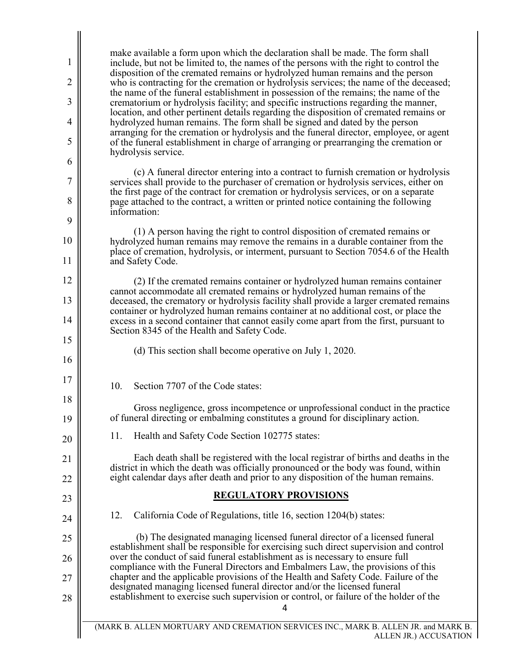make available a form upon which the declaration shall be made. The form shall hydrolyzed human remains may remove the remains in a durable container from the cannot accommodate all cremated remains or hydrolyzed human remains of the container or hydrolyzed human remains container at no additional cost, or place the 10. Section 7707 of the Code states: of funeral directing or embalming constitutes a ground for disciplinary action. 11. Health and Safety Code Section 102775 states: 12. California Code of Regulations, title 16, section 1204(b) states: over the conduct of said funeral establishment as is necessary to ensure full 5 10 15 20 25 1 2 3 4 6 7 8 9 11 12 13 14 16 17 18 19 21 22 23 24 26 27 28 include, but not be limited to, the names of the persons with the right to control the disposition of the cremated remains or hydrolyzed human remains and the person who is contracting for the cremation or hydrolysis services; the name of the deceased; the name of the funeral establishment in possession of the remains; the name of the crematorium or hydrolysis facility; and specific instructions regarding the manner, location, and other pertinent details regarding the disposition of cremated remains or hydrolyzed human remains. The form shall be signed and dated by the person arranging for the cremation or hydrolysis and the funeral director, employee, or agent of the funeral establishment in charge of arranging or prearranging the cremation or hydrolysis service. (c) A funeral director entering into a contract to furnish cremation or hydrolysis services shall provide to the purchaser of cremation or hydrolysis services, either on the first page of the contract for cremation or hydrolysis services, or on a separate page attached to the contract, a written or printed notice containing the following information: (1) A person having the right to control disposition of cremated remains or place of cremation, hydrolysis, or interment, pursuant to Section 7054.6 of the Health and Safety Code. (2) If the cremated remains container or hydrolyzed human remains container deceased, the crematory or hydrolysis facility shall provide a larger cremated remains excess in a second container that cannot easily come apart from the first, pursuant to Section 8345 of the Health and Safety Code. (d) This section shall become operative on July 1, 2020. Gross negligence, gross incompetence or unprofessional conduct in the practice Each death shall be registered with the local registrar of births and deaths in the district in which the death was officially pronounced or the body was found, within eight calendar days after death and prior to any disposition of the human remains. **REGULATORY PROVISIONS**  (b) The designated managing licensed funeral director of a licensed funeral establishment shall be responsible for exercising such direct supervision and control compliance with the Funeral Directors and Embalmers Law, the provisions of this chapter and the applicable provisions of the Health and Safety Code. Failure of the designated managing licensed funeral director and/or the licensed funeral establishment to exercise such supervision or control, or failure of the holder of the 4 (MARK B. ALLEN MORTUARY AND CREMATION SERVICES INC., MARK B. ALLEN JR. and MARK B.

ALLEN JR.) ACCUSATION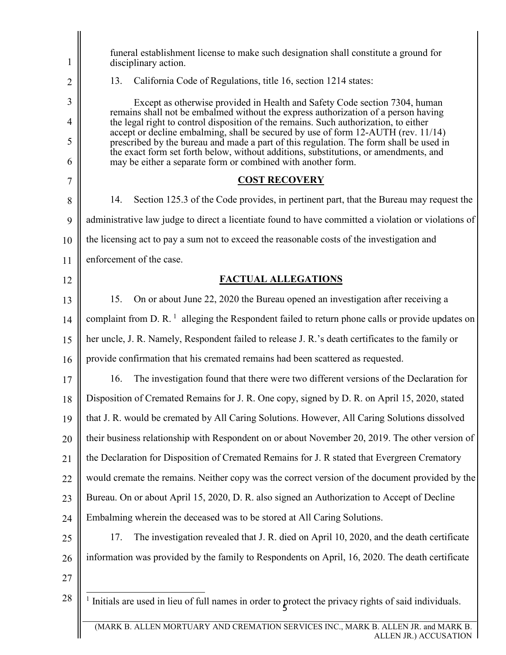| 1              | funeral establishment license to make such designation shall constitute a ground for<br>disciplinary action.                                                                                                                                                                                                                        |
|----------------|-------------------------------------------------------------------------------------------------------------------------------------------------------------------------------------------------------------------------------------------------------------------------------------------------------------------------------------|
| $\overline{2}$ | California Code of Regulations, title 16, section 1214 states:<br>13.                                                                                                                                                                                                                                                               |
| 3              | Except as otherwise provided in Health and Safety Code section 7304, human                                                                                                                                                                                                                                                          |
| $\overline{4}$ | remains shall not be embalmed without the express authorization of a person having<br>the legal right to control disposition of the remains. Such authorization, to either                                                                                                                                                          |
| 5<br>6         | accept or decline embalming, shall be secured by use of form 12-AUTH (rev. 11/14)<br>prescribed by the bureau and made a part of this regulation. The form shall be used in<br>the exact form set forth below, without additions, substitutions, or amendments, and<br>may be either a separate form or combined with another form. |
| $\overline{7}$ | <b>COST RECOVERY</b>                                                                                                                                                                                                                                                                                                                |
| 8              | 14.<br>Section 125.3 of the Code provides, in pertinent part, that the Bureau may request the                                                                                                                                                                                                                                       |
| 9              | administrative law judge to direct a licentiate found to have committed a violation or violations of                                                                                                                                                                                                                                |
| 10             | the licensing act to pay a sum not to exceed the reasonable costs of the investigation and                                                                                                                                                                                                                                          |
| 11             | enforcement of the case.                                                                                                                                                                                                                                                                                                            |
| 12             | <b>FACTUAL ALLEGATIONS</b>                                                                                                                                                                                                                                                                                                          |
| 13             | 15.<br>On or about June 22, 2020 the Bureau opened an investigation after receiving a                                                                                                                                                                                                                                               |
| 14             | complaint from D. R. <sup>1</sup> alleging the Respondent failed to return phone calls or provide updates on                                                                                                                                                                                                                        |
| 15             | her uncle, J. R. Namely, Respondent failed to release J. R.'s death certificates to the family or                                                                                                                                                                                                                                   |
| 16             | provide confirmation that his cremated remains had been scattered as requested.                                                                                                                                                                                                                                                     |
| 17             | 16.<br>The investigation found that there were two different versions of the Declaration for                                                                                                                                                                                                                                        |
| 18             | Disposition of Cremated Remains for J. R. One copy, signed by D. R. on April 15, 2020, stated                                                                                                                                                                                                                                       |
| 19             | that J. R. would be cremated by All Caring Solutions. However, All Caring Solutions dissolved                                                                                                                                                                                                                                       |
| 20             | their business relationship with Respondent on or about November 20, 2019. The other version of                                                                                                                                                                                                                                     |
| 21             | the Declaration for Disposition of Cremated Remains for J. R stated that Evergreen Crematory                                                                                                                                                                                                                                        |
| 22             | would cremate the remains. Neither copy was the correct version of the document provided by the                                                                                                                                                                                                                                     |
| 23             | Bureau. On or about April 15, 2020, D. R. also signed an Authorization to Accept of Decline                                                                                                                                                                                                                                         |
| 24             | Embalming wherein the deceased was to be stored at All Caring Solutions.                                                                                                                                                                                                                                                            |
| 25             | The investigation revealed that J. R. died on April 10, 2020, and the death certificate<br>17.                                                                                                                                                                                                                                      |
| 26             | information was provided by the family to Respondents on April, 16, 2020. The death certificate                                                                                                                                                                                                                                     |
| 27             |                                                                                                                                                                                                                                                                                                                                     |
| 28             | <sup>1</sup> Initials are used in lieu of full names in order to protect the privacy rights of said individuals.                                                                                                                                                                                                                    |
|                | (MARK B. ALLEN MORTUARY AND CREMATION SERVICES INC., MARK B. ALLEN JR. and MARK B.                                                                                                                                                                                                                                                  |

<span id="page-10-0"></span>ALLEN JR.) ACCUSATION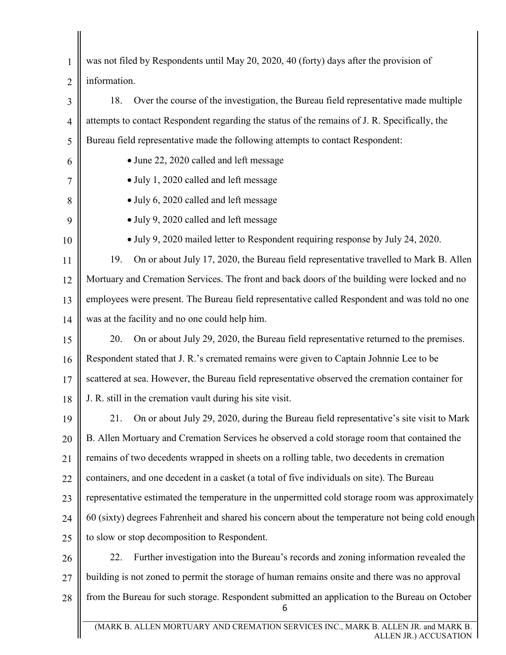<span id="page-11-0"></span> was not filed by Respondents until May 20, 2020, 40 (forty) days after the provision of • June 22, 2020 called and left message • July 1, 2020 called and left message • July 6, 2020 called and left message employees were present. The Bureau field representative called Respondent and was told no one 21. On or about July 29, 2020, during the Bureau field representative's site visit to Mark B. Allen Mortuary and Cremation Services he observed a cold storage room that contained the 5 10 15 20 25 1 2 3 4 6 7 8 9 11 12 13 14 16 17 18 19 21 22 23 24 26 27 28 information. 18. Over the course of the investigation, the Bureau field representative made multiple attempts to contact Respondent regarding the status of the remains of J. R. Specifically, the Bureau field representative made the following attempts to contact Respondent: • July 9, 2020 called and left message • July 9, 2020 mailed letter to Respondent requiring response by July 24, 2020. 19. On or about July 17, 2020, the Bureau field representative travelled to Mark B. Allen Mortuary and Cremation Services. The front and back doors of the building were locked and no was at the facility and no one could help him. 20. On or about July 29, 2020, the Bureau field representative returned to the premises. Respondent stated that J. R.'s cremated remains were given to Captain Johnnie Lee to be scattered at sea. However, the Bureau field representative observed the cremation container for J. R. still in the cremation vault during his site visit. remains of two decedents wrapped in sheets on a rolling table, two decedents in cremation containers, and one decedent in a casket (a total of five individuals on site). The Bureau representative estimated the temperature in the unpermitted cold storage room was approximately 60 (sixty) degrees Fahrenheit and shared his concern about the temperature not being cold enough to slow or stop decomposition to Respondent. 22. Further investigation into the Bureau's records and zoning information revealed the building is not zoned to permit the storage of human remains onsite and there was no approval from the Bureau for such storage. Respondent submitted an application to the Bureau on October 6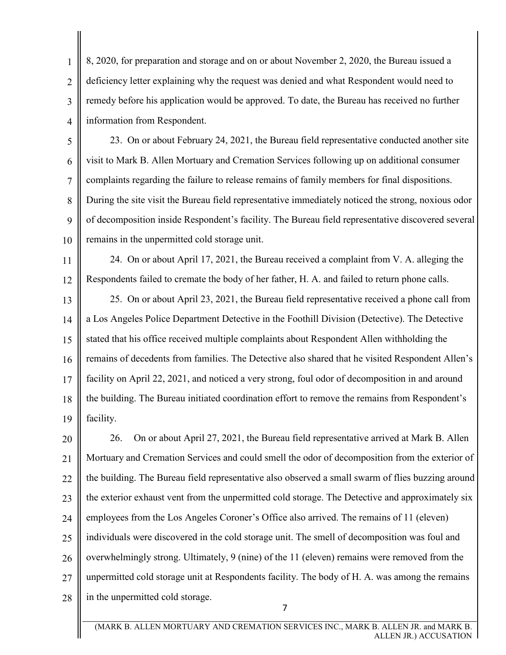remedy before his application would be approved. To date, the Bureau has received no further 8, 2020, for preparation and storage and on or about November 2, 2020, the Bureau issued a deficiency letter explaining why the request was denied and what Respondent would need to information from Respondent.

<span id="page-12-0"></span>1

2

3

4

 During the site visit the Bureau field representative immediately noticed the strong, noxious odor of decomposition inside Respondent's facility. The Bureau field representative discovered several 5 10 6 7 8  $\overline{Q}$ 23. On or about February 24, 2021, the Bureau field representative conducted another site visit to Mark B. Allen Mortuary and Cremation Services following up on additional consumer complaints regarding the failure to release remains of family members for final dispositions. remains in the unpermitted cold storage unit.

11 12 24. On or about April 17, 2021, the Bureau received a complaint from V. A. alleging the Respondents failed to cremate the body of her father, H. A. and failed to return phone calls.

 facility. 15 13 14 16 17 18 19 25. On or about April 23, 2021, the Bureau field representative received a phone call from a Los Angeles Police Department Detective in the Foothill Division (Detective). The Detective stated that his office received multiple complaints about Respondent Allen withholding the remains of decedents from families. The Detective also shared that he visited Respondent Allen's facility on April 22, 2021, and noticed a very strong, foul odor of decomposition in and around the building. The Bureau initiated coordination effort to remove the remains from Respondent's

 employees from the Los Angeles Coroner's Office also arrived. The remains of 11 (eleven) 20 25 21 22 23 24 26 27 28 26. On or about April 27, 2021, the Bureau field representative arrived at Mark B. Allen Mortuary and Cremation Services and could smell the odor of decomposition from the exterior of the building. The Bureau field representative also observed a small swarm of flies buzzing around the exterior exhaust vent from the unpermitted cold storage. The Detective and approximately six individuals were discovered in the cold storage unit. The smell of decomposition was foul and overwhelmingly strong. Ultimately, 9 (nine) of the 11 (eleven) remains were removed from the unpermitted cold storage unit at Respondents facility. The body of H. A. was among the remains in the unpermitted cold storage.

7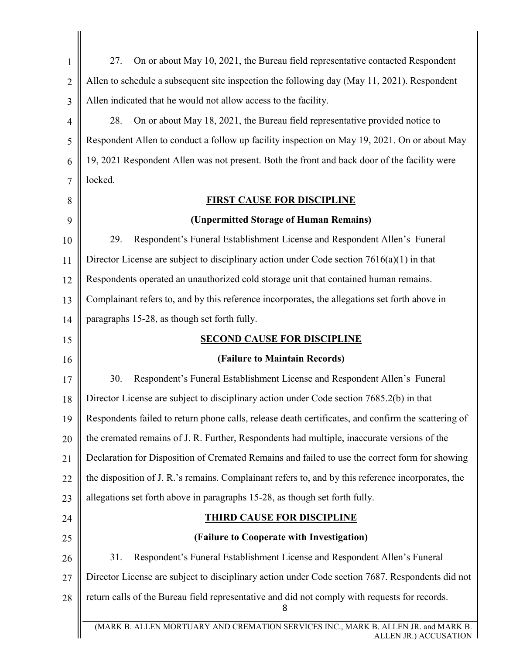<span id="page-13-0"></span>

| $\mathbf{1}$   | On or about May 10, 2021, the Bureau field representative contacted Respondent<br>27.                       |
|----------------|-------------------------------------------------------------------------------------------------------------|
| $\overline{2}$ | Allen to schedule a subsequent site inspection the following day (May 11, 2021). Respondent                 |
| 3              | Allen indicated that he would not allow access to the facility.                                             |
| 4              | On or about May 18, 2021, the Bureau field representative provided notice to<br>28.                         |
| 5              | Respondent Allen to conduct a follow up facility inspection on May 19, 2021. On or about May                |
| 6              | 19, 2021 Respondent Allen was not present. Both the front and back door of the facility were                |
| 7              | locked.                                                                                                     |
| 8              | <b>FIRST CAUSE FOR DISCIPLINE</b>                                                                           |
| 9              | (Unpermitted Storage of Human Remains)                                                                      |
| 10             | Respondent's Funeral Establishment License and Respondent Allen's Funeral<br>29.                            |
| 11             | Director License are subject to disciplinary action under Code section $7616(a)(1)$ in that                 |
| 12             | Respondents operated an unauthorized cold storage unit that contained human remains.                        |
| 13             | Complainant refers to, and by this reference incorporates, the allegations set forth above in               |
| 14             | paragraphs 15-28, as though set forth fully.                                                                |
| 15             | <b>SECOND CAUSE FOR DISCIPLINE</b>                                                                          |
| 16             | (Failure to Maintain Records)                                                                               |
| 17             | Respondent's Funeral Establishment License and Respondent Allen's Funeral<br>30.                            |
| 18             | Director License are subject to disciplinary action under Code section 7685.2(b) in that                    |
| 19             | Respondents failed to return phone calls, release death certificates, and confirm the scattering of         |
| 20             | the cremated remains of J. R. Further, Respondents had multiple, inaccurate versions of the                 |
| 21             | Declaration for Disposition of Cremated Remains and failed to use the correct form for showing              |
| 22             | the disposition of J. R.'s remains. Complainant refers to, and by this reference incorporates, the          |
| 23             | allegations set forth above in paragraphs 15-28, as though set forth fully.                                 |
| 24             | <b>THIRD CAUSE FOR DISCIPLINE</b>                                                                           |
| 25             | (Failure to Cooperate with Investigation)                                                                   |
| 26             | 31.<br>Respondent's Funeral Establishment License and Respondent Allen's Funeral                            |
| 27             | Director License are subject to disciplinary action under Code section 7687. Respondents did not            |
| 28             | return calls of the Bureau field representative and did not comply with requests for records.<br>8          |
|                | (MARK B. ALLEN MORTUARY AND CREMATION SERVICES INC., MARK B. ALLEN JR. and MARK B.<br>ALLEN JR.) ACCUSATION |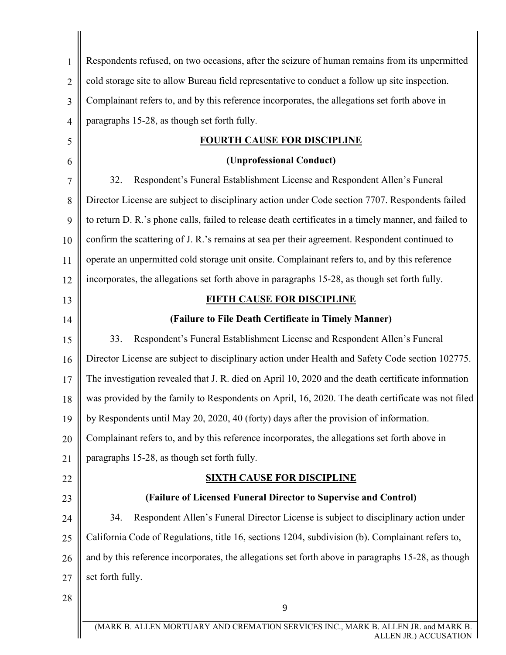<span id="page-14-0"></span>

| 1              | Respondents refused, on two occasions, after the seizure of human remains from its unpermitted        |
|----------------|-------------------------------------------------------------------------------------------------------|
| $\overline{2}$ | cold storage site to allow Bureau field representative to conduct a follow up site inspection.        |
| 3              | Complainant refers to, and by this reference incorporates, the allegations set forth above in         |
| 4              | paragraphs 15-28, as though set forth fully.                                                          |
| 5              | <b>FOURTH CAUSE FOR DISCIPLINE</b>                                                                    |
| 6              | (Unprofessional Conduct)                                                                              |
| 7              | 32.<br>Respondent's Funeral Establishment License and Respondent Allen's Funeral                      |
| 8              | Director License are subject to disciplinary action under Code section 7707. Respondents failed       |
| 9              | to return D. R.'s phone calls, failed to release death certificates in a timely manner, and failed to |
| 10             | confirm the scattering of J. R.'s remains at sea per their agreement. Respondent continued to         |
| 11             | operate an unpermitted cold storage unit onsite. Complainant refers to, and by this reference         |
| 12             | incorporates, the allegations set forth above in paragraphs 15-28, as though set forth fully.         |
| 13             | <b>FIFTH CAUSE FOR DISCIPLINE</b>                                                                     |
| 14             | (Failure to File Death Certificate in Timely Manner)                                                  |
| 15             | 33.<br>Respondent's Funeral Establishment License and Respondent Allen's Funeral                      |
| 16             | Director License are subject to disciplinary action under Health and Safety Code section 102775.      |
| 17             | The investigation revealed that J. R. died on April 10, 2020 and the death certificate information    |
| 18             | was provided by the family to Respondents on April, 16, 2020. The death certificate was not filed     |
| 19             | by Respondents until May 20, 2020, 40 (forty) days after the provision of information.                |
| 20             | Complainant refers to, and by this reference incorporates, the allegations set forth above in         |
| 21             | paragraphs 15-28, as though set forth fully.                                                          |
| 22             | <b>SIXTH CAUSE FOR DISCIPLINE</b>                                                                     |
| 23             | (Failure of Licensed Funeral Director to Supervise and Control)                                       |
| 24             | Respondent Allen's Funeral Director License is subject to disciplinary action under<br>34.            |
| 25             | California Code of Regulations, title 16, sections 1204, subdivision (b). Complainant refers to,      |
| 26             | and by this reference incorporates, the allegations set forth above in paragraphs 15-28, as though    |
| 27             | set forth fully.                                                                                      |
| 28             | 9                                                                                                     |
|                | (MARK B. ALLEN MORTUARY AND CREMATION SERVICES INC., MARK B. ALLEN JR. and MARK B.                    |
|                | ALLEN JR.) ACCUSATION                                                                                 |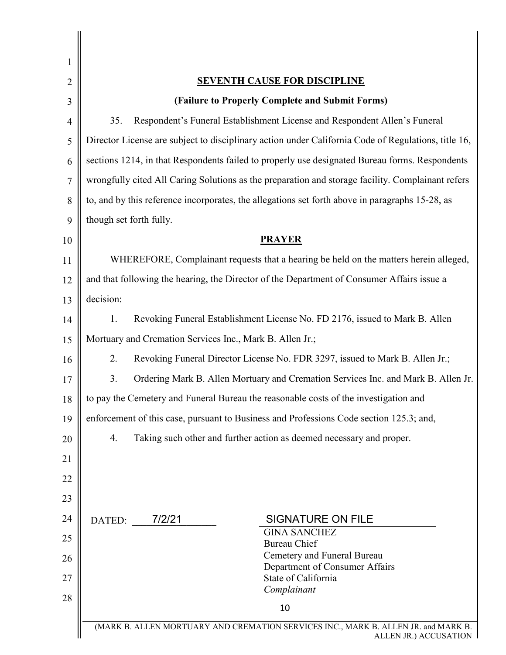| 1              |                                                                                                             |
|----------------|-------------------------------------------------------------------------------------------------------------|
| $\overline{2}$ | <b>SEVENTH CAUSE FOR DISCIPLINE</b>                                                                         |
| 3              | (Failure to Properly Complete and Submit Forms)                                                             |
| $\overline{4}$ | 35.<br>Respondent's Funeral Establishment License and Respondent Allen's Funeral                            |
| 5              | Director License are subject to disciplinary action under California Code of Regulations, title 16,         |
| 6              | sections 1214, in that Respondents failed to properly use designated Bureau forms. Respondents              |
| 7              | wrongfully cited All Caring Solutions as the preparation and storage facility. Complainant refers           |
| 8              | to, and by this reference incorporates, the allegations set forth above in paragraphs 15-28, as             |
| 9              | though set forth fully.                                                                                     |
| 10             | <b>PRAYER</b>                                                                                               |
| 11             | WHEREFORE, Complainant requests that a hearing be held on the matters herein alleged,                       |
| 12             | and that following the hearing, the Director of the Department of Consumer Affairs issue a                  |
| 13             | decision:                                                                                                   |
| 14             | Revoking Funeral Establishment License No. FD 2176, issued to Mark B. Allen<br>1.                           |
| 15             | Mortuary and Cremation Services Inc., Mark B. Allen Jr.;                                                    |
| 16             | 2.<br>Revoking Funeral Director License No. FDR 3297, issued to Mark B. Allen Jr.;                          |
| 17             | Ordering Mark B. Allen Mortuary and Cremation Services Inc. and Mark B. Allen Jr.<br>3.                     |
| 18             | to pay the Cemetery and Funeral Bureau the reasonable costs of the investigation and                        |
| 19             | enforcement of this case, pursuant to Business and Professions Code section 125.3; and,                     |
| 20             | Taking such other and further action as deemed necessary and proper.<br>4.                                  |
| 21             |                                                                                                             |
| 22             |                                                                                                             |
| 23             |                                                                                                             |
| 24             | 7/2/21<br><b>SIGNATURE ON FILE</b><br>DATED:                                                                |
| 25             | <b>GINA SANCHEZ</b><br><b>Bureau Chief</b>                                                                  |
| 26             | Cemetery and Funeral Bureau                                                                                 |
| 27             | Department of Consumer Affairs<br>State of California                                                       |
| 28             | Complainant                                                                                                 |
|                | 10                                                                                                          |
|                | (MARK B. ALLEN MORTUARY AND CREMATION SERVICES INC., MARK B. ALLEN JR. and MARK B.<br>ALLEN JR.) ACCUSATION |